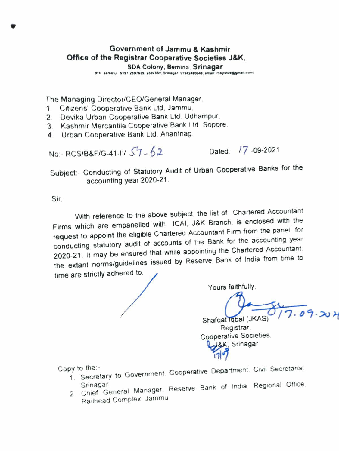## Government of Jammu & Kashmir Office of the Registrar Cooperative Societies J&K,

SDA Colony, Bemina, Srinagar<br>IPh Jammu 0191 2697669. 2697869. Srinagar 01942490348. smail raathawagmail.com

The Managing Director/CEOIGeneral Manager

- 1 Citizens' Cooperative Bank Ltd, Jammu
- 2. Devika Urban Cooperative Bank Ltd. Udhampur.
- 3. Kashmir Mercantile Cooperative Bank Ltd. Sopore.
- 4 Urban Cooperative Bank Ltd. Anantnag

No:- RCS/B&F/G-41-II/ $57-62$  Dated:  $17-09-2021$ 

Subject:- Conducting of Statutory Audit of Urban Cooperative Banks for the accounting year 2020-21

Sir.

With reference to the above subject, the list of Chartered Accountant Firms which are empanelled with ICAI, J&K Branch, is enclosed with the request to appoint the eligible Chartered Accountant Firm from the panel for conducting statutory audit of accounts of the Bank for the accounting year 2020-21. It may be ensured that while appointing the Chartered Accountant the extant norms/guidelines issued by Reserve Bank of India from time to time are strictly adhered to.

Yours faithfully.

 $.09.204$ 

Shafqat Iqbal (JKAS) Registrar Cooperative Societies Registrar<br>Society Society<br>3, Srinagar

Copy to the:-

- 1 Secretary to Government. Cooperative Department. Civil Secretanat
- Srinagar.<br>2 Chief General Manager. Reserve Bank of India. Regional Office Railhead Complex. Jammu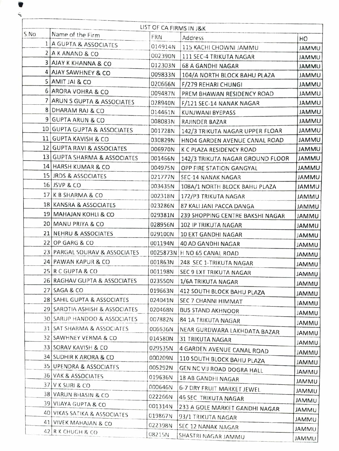| S.No<br>Name of the Firm<br><b>FRN</b><br>Address<br>HO<br>1 A GUPTA & ASSOCIATES<br>014914N<br>115 KACHI CHOWNI JAMMU | <b>JAMMU</b>                 |
|------------------------------------------------------------------------------------------------------------------------|------------------------------|
|                                                                                                                        |                              |
|                                                                                                                        |                              |
| 2 A K ANAND & CO<br>002390N<br>111 SEC-4 TRIKUTA NAGAR                                                                 | <b>JAMMU</b>                 |
| <b>3 AJAY K KHANNA &amp; CO</b><br>012303N<br><b>68 A GANDHI NAGAR</b>                                                 | <b>UMMU</b>                  |
| 4 AJAY SAWHNEY & CO<br>009833N<br>104/A NORTH BLOCK BAHU PLAZA                                                         | <b>JAMMU</b>                 |
| 5 AMIT JAI & CO<br>020666N<br>F/279 REHARI CHUNGI                                                                      | <b>UMMU</b>                  |
| 6 ARORA VOHRA & CO<br>009487N<br>PREM BHAWAN RESIDENCY ROAD                                                            | <b>JAMMU</b>                 |
| 7 ARUN S GUPTA & ASSOCIATES<br>028940N<br>F/121 SEC-14 NANAK NAGAR                                                     | <b>JAMMU</b>                 |
| 8 DHARAM RAJ & CO<br>014461N<br>KUNJWANI BYEPASS                                                                       | <b>JAMMU</b>                 |
| 9 GUPTA ARUN & CO<br>008083N<br>RAJINDER BAZAR                                                                         | <b>JAMMU</b>                 |
| 10 GUPTA GUPTA & ASSOCIATES<br>001728N<br>142/3 TRIKUTA NAGAR UPPER FLOAR                                              | JAMMU                        |
| 11 GUPTA KAVISH & CO<br>030829N<br>HNO4 GARDEN AVENUE CANAL ROAD                                                       | <b>UMMAL</b>                 |
| 12 GUPTA RAVI & ASSOCIATES<br>006970N<br>K C PLAZA RESIDENCY ROAD                                                      | <b>JAMMU</b>                 |
| 13 GUPTA SHARMA & ASSOCIATES<br>001466N<br>142/3 TRIKUTA NAGAR GROUND FLOOR                                            | <b>JAMMU</b>                 |
| 14 HARSH KUMAR & CO<br>004975N<br>OPP FIRE STATION GANGYAL                                                             | <b>JAMMU</b>                 |
| 15 JRDS & ASSOCIATES<br>021777N<br>SEC-14 NANAK NAGAR                                                                  | <b>JAMMU</b>                 |
| 16 JSVP & CO<br>003435N<br>108A/1 NORTH BLOCK BAHU PLAZA                                                               | <b>JAMMU</b>                 |
| 17 K B SHARMA & CO<br>002318N<br>172/P3 TRIKUTA NAGAR                                                                  | <b>JAMMU</b>                 |
| 18 KANSRA & ASSOCIATES<br>023286N<br>87 KALI JANI PACCA DANGA                                                          | <b>JAMMU</b>                 |
| 19 MAHAJAN KOHLI & CO<br>029381N<br>239 SHOPPING CENTRE BAKSHI NAGAR                                                   | <b>JAMMU</b>                 |
| 20 MANU PRIYA & CO<br>028956N<br>102 IP TRIKUTA NAGAR                                                                  | <b>JAMMU</b>                 |
| 21 NEHRU & ASSOCIATES<br>029100N<br>10 EXT GANDHI NAGAR                                                                | <b>JAMMU</b>                 |
| 22 OP GARG & CO<br>001194N<br><b>40 AD GANDHI NAGAR</b>                                                                | <b>JAMMU</b>                 |
| 23 PARGAL SOURAV & ASSOCIATES<br>0025873N H NO 65 CANAL ROAD                                                           | <b>JAMMU</b>                 |
| 24 PAWAN KAPUR & CO<br>001863N<br>248 SEC 1-TRIKUTA NAGAR                                                              | <b>JAMMU</b>                 |
| 25 R C GUPTA & CO<br>001198N<br>SEC 9 EXT TRIKUTA NAGAR                                                                | <b>JAMMU</b>                 |
| 26 RAGHAV GUPTA & ASSOCIATES<br>023550N<br>1/6A TRIKUTA NAGAR                                                          | <b>UMMAL</b>                 |
| 27 SAGA & CO<br>019663N<br>412 SOUTH BLOCK BAHU PLAZA                                                                  | <b>JAMMU</b>                 |
| 28 SAHIL GUPTA & ASSOCIATES<br>024041N<br>SEC 7 CHANNI HIMMAT                                                          | <b>JAMMU</b>                 |
| 29 SAROTIA ASHISH & ASSOCIATES<br>020468N<br><b>BUS STAND AKHNOOR</b>                                                  | <b>JAMMU</b>                 |
| 30 SARUP HANDOO & ASSOCIATES<br>007882N<br>84 1A TRIKUTA NAGAR                                                         | <b>JAMMU</b>                 |
| 31 SAT SHARMA & ASSOCIATES<br>006636N<br>NEAR GURDWARA LAKHDATA BAZAR                                                  | <b>JAMMU</b>                 |
| 32 SAWHNEY VERMA & CO<br>014580N<br><b>31 TRIKUTA NAGAR</b>                                                            | <b>JAMMU</b>                 |
| 33 SORAV KAVISH & CO<br>029535N<br>4 GARDEN AVENUE CANAL ROAD                                                          | <b>JAMMU</b>                 |
| 34 SUDHIR K ARORA & CO<br>000209N<br>110 SOUTH BLOCK BAHU PLAZA                                                        | <b>JAMMU</b>                 |
| 35 UPENDRA & ASSOCIATES<br>005292N<br>GEN NC VIJ ROAD DOGRA HALL                                                       | <b>JAMMU</b>                 |
| 36 VAK & ASSOCIATES<br>019636N<br>18 AB GANDHI NAGAR                                                                   |                              |
| 37 V K SURI & CO<br>000646N<br>6-7 DRY FRUIT MARKET JEWEL                                                              | <b>JAMMU</b><br><b>JAMMU</b> |
| 38 VARUN BHASIN & CO<br>022266N<br>46 SEC TRIKUTA NAGAR                                                                |                              |
| 39 VIJAYA GUPTA & CO<br>001314N<br>233 A GOLE MARKET GANDHI NAGAR                                                      | <b>JAMMU</b>                 |
| 40 VIKAS SATIKA & ASSOCIATES<br>019867N<br>93/1 TRIKUTA NAGAR                                                          | <b>JAMMU</b>                 |
| 41 VIVEK MAHAJAN & CO<br>022398N<br>SEC 12 NANAK NAGAR                                                                 | <b>JAMMU</b>                 |
| 42 R K CHUGH & CO<br>08215N<br>SHASTRI NAGAR JAMMU                                                                     | <b>JAMMU</b><br><b>JAMMU</b> |